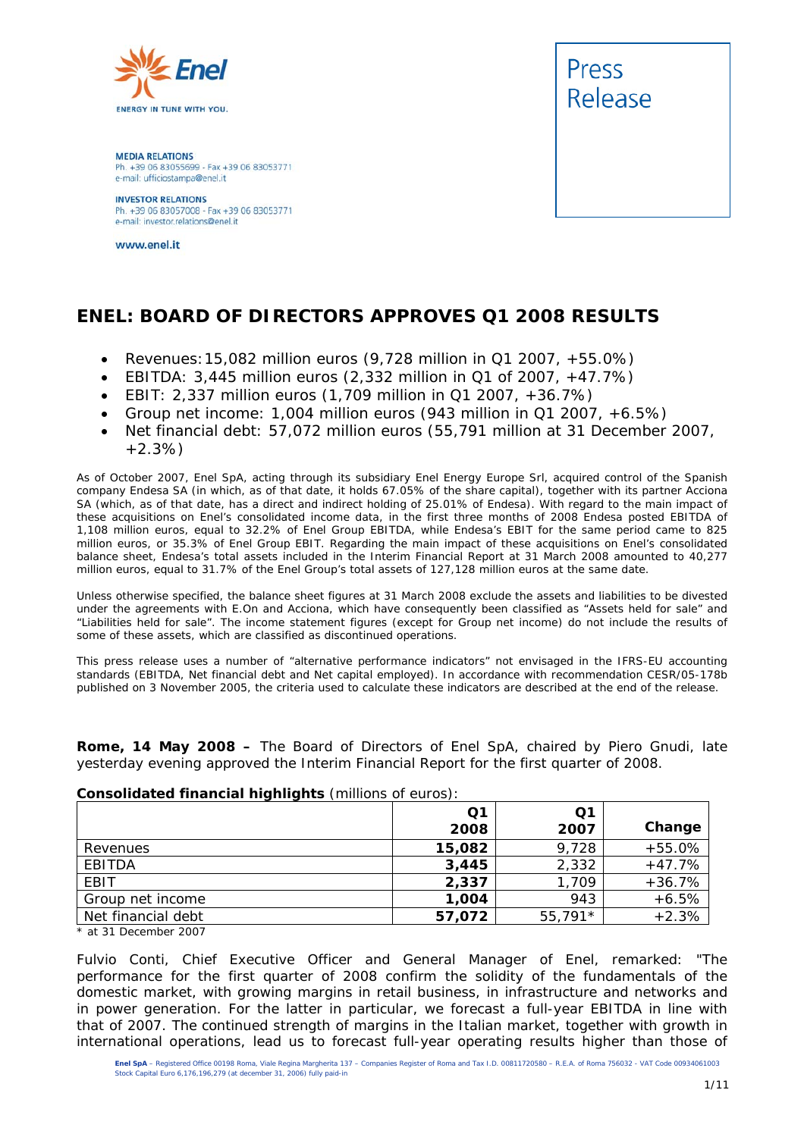

**MEDIA RELATIONS** Ph. +39 06 83055699 - Fax +39 06 83053771 e-mail: ufficiostampa@enel.it

**INVESTOR RELATIONS**<br>Ph. +39 06 83057008 - Fax +39 06 83053771 e-mail: investor.relations@enel.it

www.enel.it



#### **ENEL: BOARD OF DIRECTORS APPROVES Q1 2008 RESULTS**

- *Revenues:15,082 million euros (9,728 million in Q1 2007, +55.0%)*
- *EBITDA: 3,445 million euros (2,332 million in Q1 of 2007, +47.7%)*
- *EBIT: 2,337 million euros (1,709 million in Q1 2007, +36.7%)*
- *Group net income: 1,004 million euros (943 million in Q1 2007, +6.5%)*
- *Net financial debt: 57,072 million euros (55,791 million at 31 December 2007, +2.3%)*

As of October 2007, Enel SpA, acting through its subsidiary Enel Energy Europe Srl, acquired control of the Spanish company Endesa SA (in which, as of that date, it holds 67.05% of the share capital), together with its partner Acciona SA (which, as of that date, has a direct and indirect holding of 25.01% of Endesa). With regard to the main impact of these acquisitions on Enel's consolidated income data, in the first three months of 2008 Endesa posted EBITDA of 1,108 million euros, equal to 32.2% of Enel Group EBITDA, while Endesa's EBIT for the same period came to 825 million euros, or 35.3% of Enel Group EBIT. Regarding the main impact of these acquisitions on Enel's consolidated balance sheet, Endesa's total assets included in the Interim Financial Report at 31 March 2008 amounted to 40,277 million euros, equal to 31.7% of the Enel Group's total assets of 127,128 million euros at the same date.

Unless otherwise specified, the balance sheet figures at 31 March 2008 exclude the assets and liabilities to be divested under the agreements with E.On and Acciona, which have consequently been classified as "Assets held for sale" and "Liabilities held for sale". The income statement figures (except for Group net income) do not include the results of some of these assets, which are classified as discontinued operations*.*

This press release uses a number of "alternative performance indicators" not envisaged in the IFRS-EU accounting standards (EBITDA, Net financial debt and Net capital employed). In accordance with recommendation CESR/05-178b published on 3 November 2005, the criteria used to calculate these indicators are described at the end of the release.

**Rome, 14 May 2008 –** The Board of Directors of Enel SpA, chaired by Piero Gnudi, late yesterday evening approved the Interim Financial Report for the first quarter of 2008.

|                    | Q <sub>1</sub><br>2008 | Q1<br>2007 | Change   |
|--------------------|------------------------|------------|----------|
| Revenues           | 15,082                 | 9,728      | $+55.0%$ |
| EBITDA             | 3,445                  | 2,332      | $+47.7%$ |
| EBIT               | 2,337                  | 1,709      | $+36.7%$ |
| Group net income   | 1,004                  | 943        | $+6.5%$  |
| Net financial debt | 57,072                 | $55,791*$  | $+2.3%$  |

#### **Consolidated financial highlights** (millions of euros):

*\* at 31 December 2007* 

Fulvio Conti, Chief Executive Officer and General Manager of Enel, remarked: "*The performance for the first quarter of 2008 confirm the solidity of the fundamentals of the domestic market, with growing margins in retail business, in infrastructure and networks and in power generation. For the latter in particular, we forecast a full-year EBITDA in line with that of 2007. The continued strength of margins in the Italian market, together with growth in international operations, lead us to forecast full-year operating results higher than those of*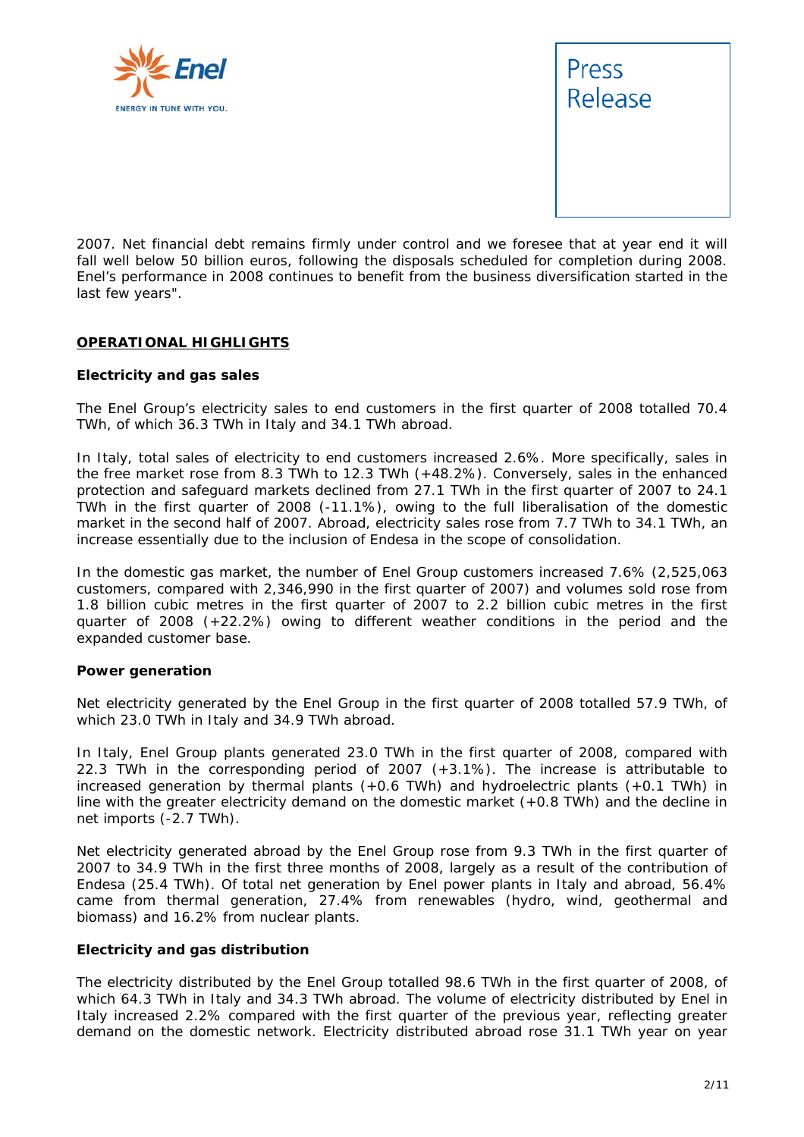



*2007. Net financial debt remains firmly under control and we foresee that at year end it will*  fall well below 50 billion euros, following the disposals scheduled for completion during 2008. *Enel's performance in 2008 continues to benefit from the business diversification started in the last few years".* 

#### **OPERATIONAL HIGHLIGHTS**

#### **Electricity and gas sales**

The Enel Group's electricity sales to end customers in the first quarter of 2008 totalled 70.4 TWh, of which 36.3 TWh in Italy and 34.1 TWh abroad.

In Italy, total sales of electricity to end customers increased 2.6%. More specifically, sales in the free market rose from 8.3 TWh to 12.3 TWh (+48.2%). Conversely, sales in the enhanced protection and safeguard markets declined from 27.1 TWh in the first quarter of 2007 to 24.1 TWh in the first quarter of 2008 (-11.1%), owing to the full liberalisation of the domestic market in the second half of 2007. Abroad, electricity sales rose from 7.7 TWh to 34.1 TWh, an increase essentially due to the inclusion of Endesa in the scope of consolidation.

In the domestic gas market, the number of Enel Group customers increased 7.6% (2,525,063 customers, compared with 2,346,990 in the first quarter of 2007) and volumes sold rose from 1.8 billion cubic metres in the first quarter of 2007 to 2.2 billion cubic metres in the first quarter of 2008 (+22.2%) owing to different weather conditions in the period and the expanded customer base.

#### **Power generation**

Net electricity generated by the Enel Group in the first quarter of 2008 totalled 57.9 TWh, of which 23.0 TWh in Italy and 34.9 TWh abroad.

In Italy, Enel Group plants generated 23.0 TWh in the first quarter of 2008, compared with 22.3 TWh in the corresponding period of 2007 (+3.1%). The increase is attributable to increased generation by thermal plants  $(+0.6 \text{ TWh})$  and hydroelectric plants  $(+0.1 \text{ TWh})$  in line with the greater electricity demand on the domestic market (+0.8 TWh) and the decline in net imports (-2.7 TWh).

Net electricity generated abroad by the Enel Group rose from 9.3 TWh in the first quarter of 2007 to 34.9 TWh in the first three months of 2008, largely as a result of the contribution of Endesa (25.4 TWh). Of total net generation by Enel power plants in Italy and abroad, 56.4% came from thermal generation, 27.4% from renewables (hydro, wind, geothermal and biomass) and 16.2% from nuclear plants.

#### **Electricity and gas distribution**

The electricity distributed by the Enel Group totalled 98.6 TWh in the first quarter of 2008, of which 64.3 TWh in Italy and 34.3 TWh abroad. The volume of electricity distributed by Enel in Italy increased 2.2% compared with the first quarter of the previous year, reflecting greater demand on the domestic network. Electricity distributed abroad rose 31.1 TWh year on year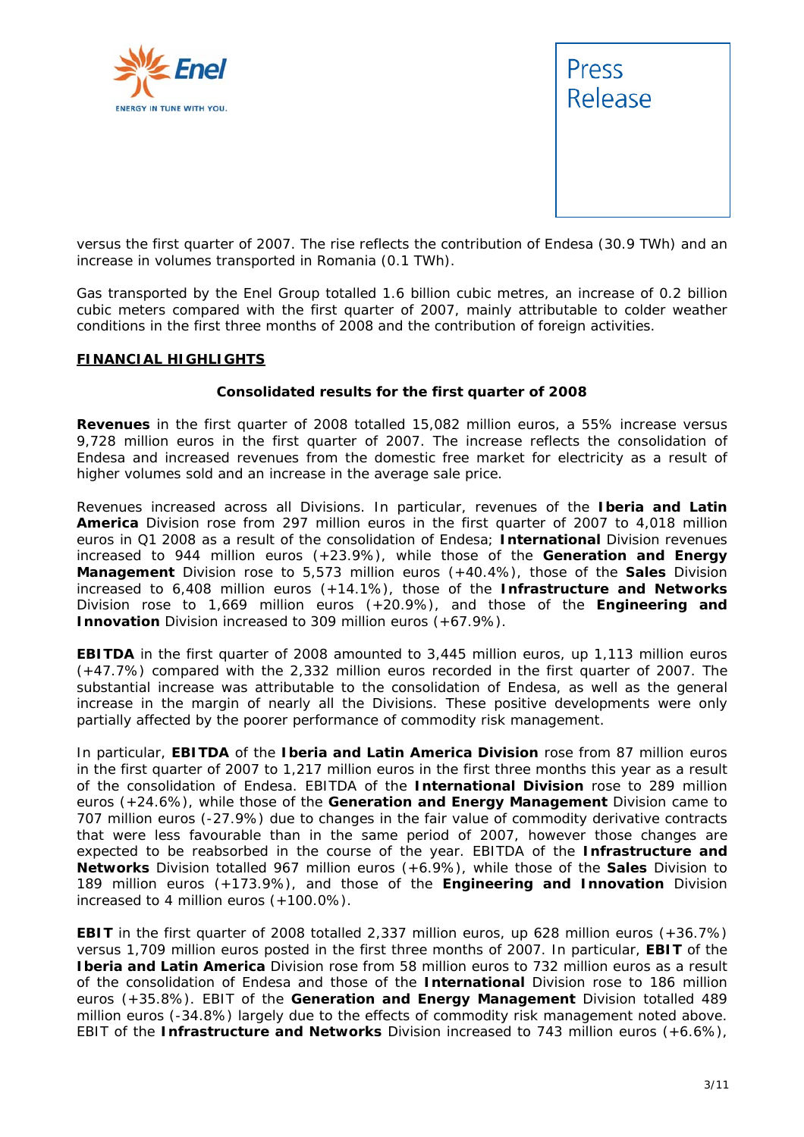



versus the first quarter of 2007. The rise reflects the contribution of Endesa (30.9 TWh) and an increase in volumes transported in Romania (0.1 TWh).

Gas transported by the Enel Group totalled 1.6 billion cubic metres, an increase of 0.2 billion cubic meters compared with the first quarter of 2007, mainly attributable to colder weather conditions in the first three months of 2008 and the contribution of foreign activities.

#### **FINANCIAL HIGHLIGHTS**

#### **Consolidated results for the first quarter of 2008**

**Revenues** in the first quarter of 2008 totalled 15,082 million euros, a 55% increase versus 9,728 million euros in the first quarter of 2007. The increase reflects the consolidation of Endesa and increased revenues from the domestic free market for electricity as a result of higher volumes sold and an increase in the average sale price.

Revenues increased across all Divisions. In particular, revenues of the **Iberia and Latin America** Division rose from 297 million euros in the first quarter of 2007 to 4,018 million euros in Q1 2008 as a result of the consolidation of Endesa; **International** Division revenues increased to 944 million euros (+23.9%), while those of the **Generation and Energy Management** Division rose to 5,573 million euros (+40.4%), those of the **Sales** Division increased to 6,408 million euros (+14.1%), those of the **Infrastructure and Networks** Division rose to 1,669 million euros (+20.9%), and those of the **Engineering and Innovation** Division increased to 309 million euros (+67.9%).

**EBITDA** in the first quarter of 2008 amounted to 3,445 million euros, up 1,113 million euros (+47.7%) compared with the 2,332 million euros recorded in the first quarter of 2007. The substantial increase was attributable to the consolidation of Endesa, as well as the general increase in the margin of nearly all the Divisions. These positive developments were only partially affected by the poorer performance of commodity risk management.

In particular, **EBITDA** of the **Iberia and Latin America Division** rose from 87 million euros in the first quarter of 2007 to 1,217 million euros in the first three months this year as a result of the consolidation of Endesa. EBITDA of the **International Division** rose to 289 million euros (+24.6%), while those of the **Generation and Energy Management** Division came to 707 million euros (-27.9%) due to changes in the fair value of commodity derivative contracts that were less favourable than in the same period of 2007, however those changes are expected to be reabsorbed in the course of the year. EBITDA of the **Infrastructure and Networks** Division totalled 967 million euros (+6.9%), while those of the **Sales** Division to 189 million euros (+173.9%), and those of the **Engineering and Innovation** Division increased to 4 million euros (+100.0%).

**EBIT** in the first quarter of 2008 totalled 2,337 million euros, up 628 million euros (+36.7%) versus 1,709 million euros posted in the first three months of 2007. In particular, **EBIT** of the **Iberia and Latin America** Division rose from 58 million euros to 732 million euros as a result of the consolidation of Endesa and those of the **International** Division rose to 186 million euros (+35.8%). EBIT of the **Generation and Energy Management** Division totalled 489 million euros (-34.8%) largely due to the effects of commodity risk management noted above. EBIT of the **Infrastructure and Networks** Division increased to 743 million euros (+6.6%),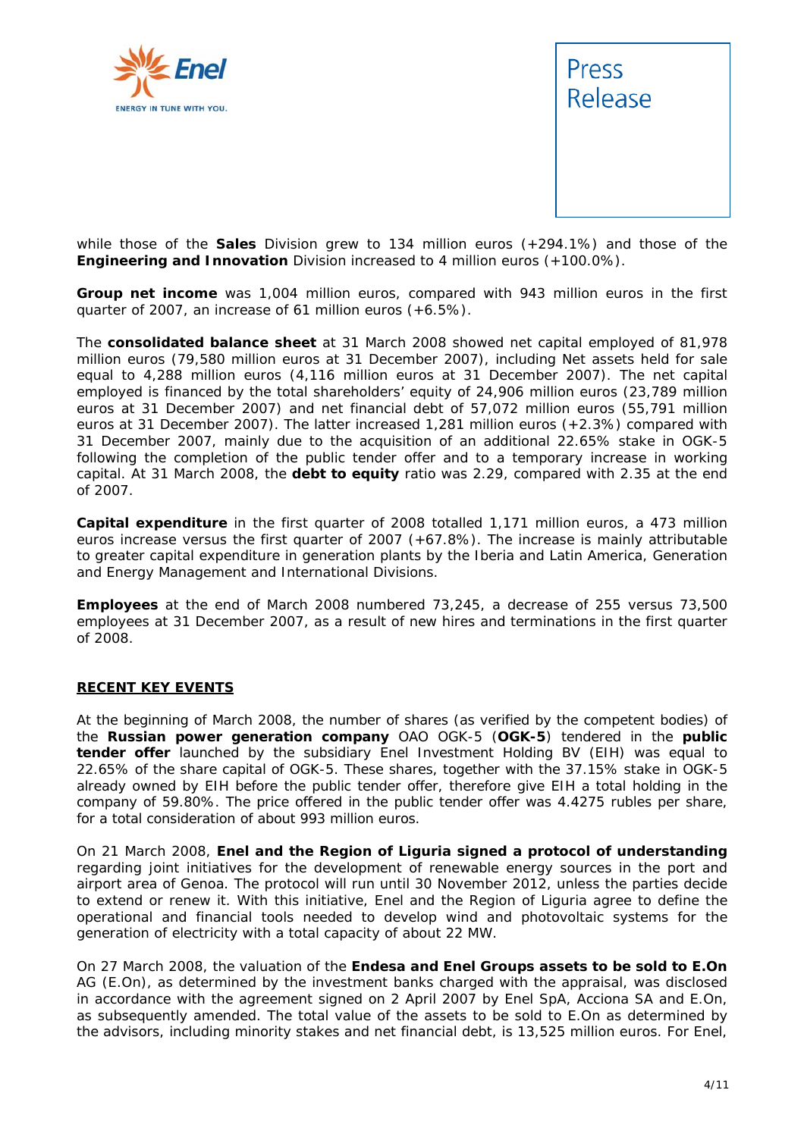



while those of the **Sales** Division grew to 134 million euros (+294.1%) and those of the **Engineering and Innovation** Division increased to 4 million euros (+100.0%).

**Group net income** was 1,004 million euros, compared with 943 million euros in the first quarter of 2007, an increase of 61 million euros (+6.5%).

The **consolidated balance sheet** at 31 March 2008 showed net capital employed of 81,978 million euros (79,580 million euros at 31 December 2007), including Net assets held for sale equal to 4,288 million euros (4,116 million euros at 31 December 2007). The net capital employed is financed by the total shareholders' equity of 24,906 million euros (23,789 million euros at 31 December 2007) and net financial debt of 57,072 million euros (55,791 million euros at 31 December 2007). The latter increased 1,281 million euros (+2.3%) compared with 31 December 2007, mainly due to the acquisition of an additional 22.65% stake in OGK-5 following the completion of the public tender offer and to a temporary increase in working capital. At 31 March 2008, the **debt to equity** ratio was 2.29, compared with 2.35 at the end of 2007.

**Capital expenditure** in the first quarter of 2008 totalled 1,171 million euros, a 473 million euros increase versus the first quarter of 2007 (+67.8%). The increase is mainly attributable to greater capital expenditure in generation plants by the Iberia and Latin America, Generation and Energy Management and International Divisions.

**Employees** at the end of March 2008 numbered 73,245, a decrease of 255 versus 73,500 employees at 31 December 2007, as a result of new hires and terminations in the first quarter of 2008.

#### **RECENT KEY EVENTS**

At the beginning of March 2008, the number of shares (as verified by the competent bodies) of the **Russian power generation company** OAO OGK-5 (**OGK-5**) tendered in the **public tender offer** launched by the subsidiary Enel Investment Holding BV (EIH) was equal to 22.65% of the share capital of OGK-5. These shares, together with the 37.15% stake in OGK-5 already owned by EIH before the public tender offer, therefore give EIH a total holding in the company of 59.80%. The price offered in the public tender offer was 4.4275 rubles per share, for a total consideration of about 993 million euros.

On 21 March 2008, **Enel and the Region of Liguria signed a protocol of understanding** regarding joint initiatives for the development of renewable energy sources in the port and airport area of Genoa. The protocol will run until 30 November 2012, unless the parties decide to extend or renew it. With this initiative, Enel and the Region of Liguria agree to define the operational and financial tools needed to develop wind and photovoltaic systems for the generation of electricity with a total capacity of about 22 MW.

On 27 March 2008, the valuation of the **Endesa and Enel Groups assets to be sold to E.On** AG (E.On), as determined by the investment banks charged with the appraisal, was disclosed in accordance with the agreement signed on 2 April 2007 by Enel SpA, Acciona SA and E.On, as subsequently amended. The total value of the assets to be sold to E.On as determined by the advisors, including minority stakes and net financial debt, is 13,525 million euros. For Enel,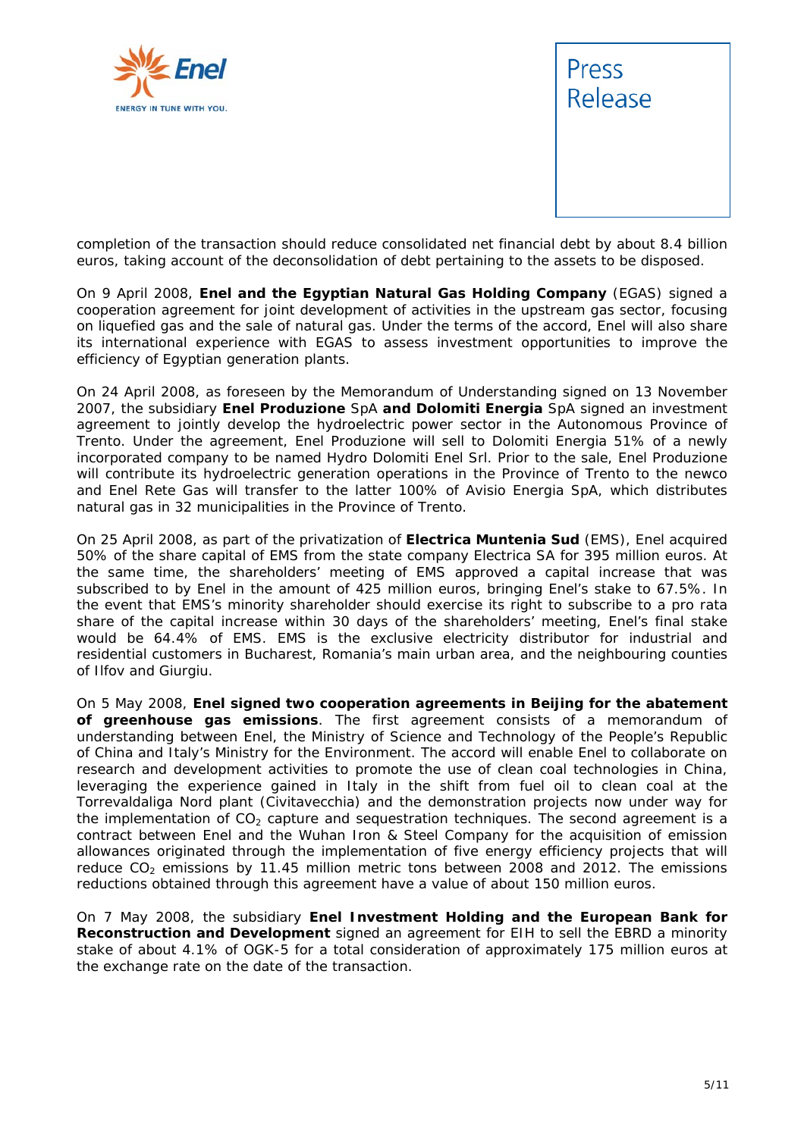



completion of the transaction should reduce consolidated net financial debt by about 8.4 billion euros, taking account of the deconsolidation of debt pertaining to the assets to be disposed.

On 9 April 2008, **Enel and the Egyptian Natural Gas Holding Company** (EGAS) signed a cooperation agreement for joint development of activities in the upstream gas sector, focusing on liquefied gas and the sale of natural gas. Under the terms of the accord, Enel will also share its international experience with EGAS to assess investment opportunities to improve the efficiency of Egyptian generation plants.

On 24 April 2008, as foreseen by the Memorandum of Understanding signed on 13 November 2007, the subsidiary **Enel Produzione** SpA **and Dolomiti Energia** SpA signed an investment agreement to jointly develop the hydroelectric power sector in the Autonomous Province of Trento. Under the agreement, Enel Produzione will sell to Dolomiti Energia 51% of a newly incorporated company to be named Hydro Dolomiti Enel Srl. Prior to the sale, Enel Produzione will contribute its hydroelectric generation operations in the Province of Trento to the newco and Enel Rete Gas will transfer to the latter 100% of Avisio Energia SpA, which distributes natural gas in 32 municipalities in the Province of Trento.

On 25 April 2008, as part of the privatization of **Electrica Muntenia Sud** (EMS), Enel acquired 50% of the share capital of EMS from the state company Electrica SA for 395 million euros. At the same time, the shareholders' meeting of EMS approved a capital increase that was subscribed to by Enel in the amount of 425 million euros, bringing Enel's stake to 67.5%. In the event that EMS's minority shareholder should exercise its right to subscribe to a *pro rata* share of the capital increase within 30 days of the shareholders' meeting, Enel's final stake would be 64.4% of EMS. EMS is the exclusive electricity distributor for industrial and residential customers in Bucharest, Romania's main urban area, and the neighbouring counties of Ilfov and Giurgiu.

On 5 May 2008, **Enel signed two cooperation agreements in Beijing for the abatement of greenhouse gas emissions**. The first agreement consists of a memorandum of understanding between Enel, the Ministry of Science and Technology of the People's Republic of China and Italy's Ministry for the Environment. The accord will enable Enel to collaborate on research and development activities to promote the use of clean coal technologies in China, leveraging the experience gained in Italy in the shift from fuel oil to clean coal at the Torrevaldaliga Nord plant (Civitavecchia) and the demonstration projects now under way for the implementation of  $CO<sub>2</sub>$  capture and sequestration techniques. The second agreement is a contract between Enel and the Wuhan Iron & Steel Company for the acquisition of emission allowances originated through the implementation of five energy efficiency projects that will reduce  $CO<sub>2</sub>$  emissions by 11.45 million metric tons between 2008 and 2012. The emissions reductions obtained through this agreement have a value of about 150 million euros.

On 7 May 2008, the subsidiary **Enel Investment Holding and the European Bank for Reconstruction and Development** signed an agreement for EIH to sell the EBRD a minority stake of about 4.1% of OGK-5 for a total consideration of approximately 175 million euros at the exchange rate on the date of the transaction.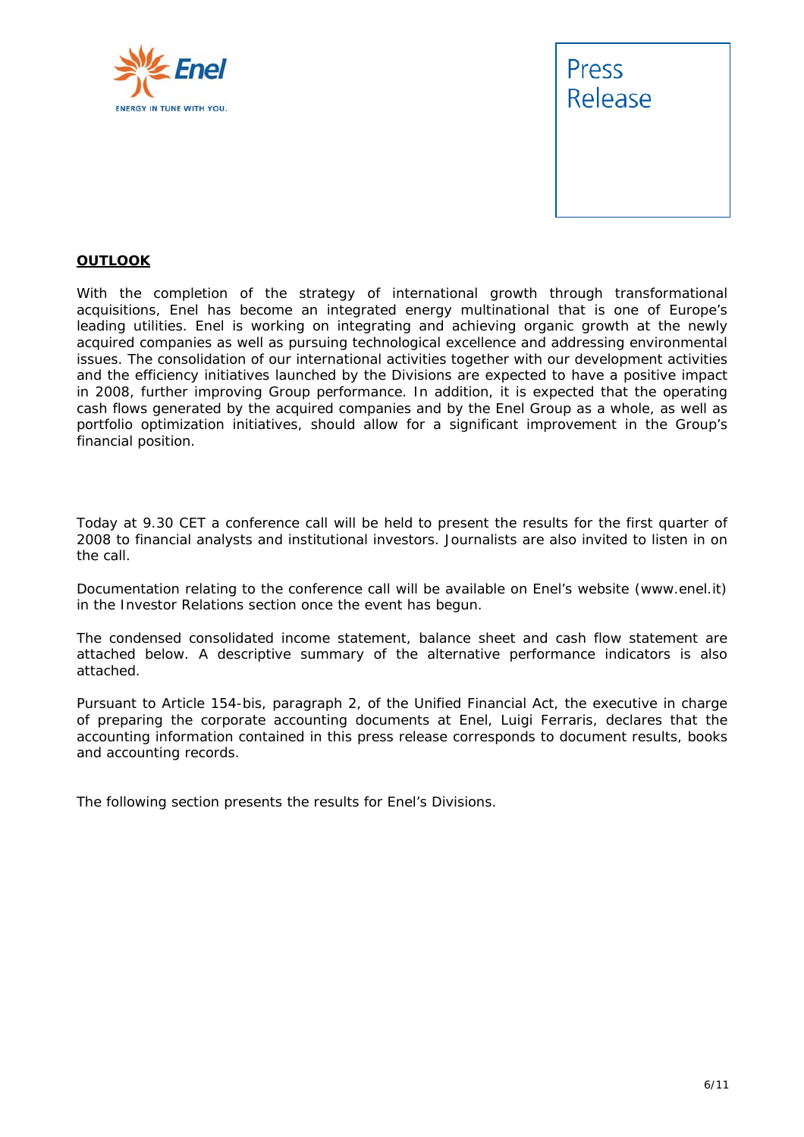



#### **OUTLOOK**

With the completion of the strategy of international growth through transformational acquisitions, Enel has become an integrated energy multinational that is one of Europe's leading utilities. Enel is working on integrating and achieving organic growth at the newly acquired companies as well as pursuing technological excellence and addressing environmental issues. The consolidation of our international activities together with our development activities and the efficiency initiatives launched by the Divisions are expected to have a positive impact in 2008, further improving Group performance. In addition, it is expected that the operating cash flows generated by the acquired companies and by the Enel Group as a whole, as well as portfolio optimization initiatives, should allow for a significant improvement in the Group's financial position.

*Today at 9.30 CET a conference call will be held to present the results for the first quarter of 2008 to financial analysts and institutional investors. Journalists are also invited to listen in on the call.* 

*Documentation relating to the conference call will be available on Enel's website (*www.enel.it*) in the Investor Relations section once the event has begun.* 

*The condensed consolidated income statement, balance sheet and cash flow statement are attached below. A descriptive summary of the alternative performance indicators is also attached.* 

*Pursuant to Article 154-bis, paragraph 2, of the Unified Financial Act, the executive in charge of preparing the corporate accounting documents at Enel, Luigi Ferraris, declares that the accounting information contained in this press release corresponds to document results, books and accounting records.* 

*The following section presents the results for Enel's Divisions.*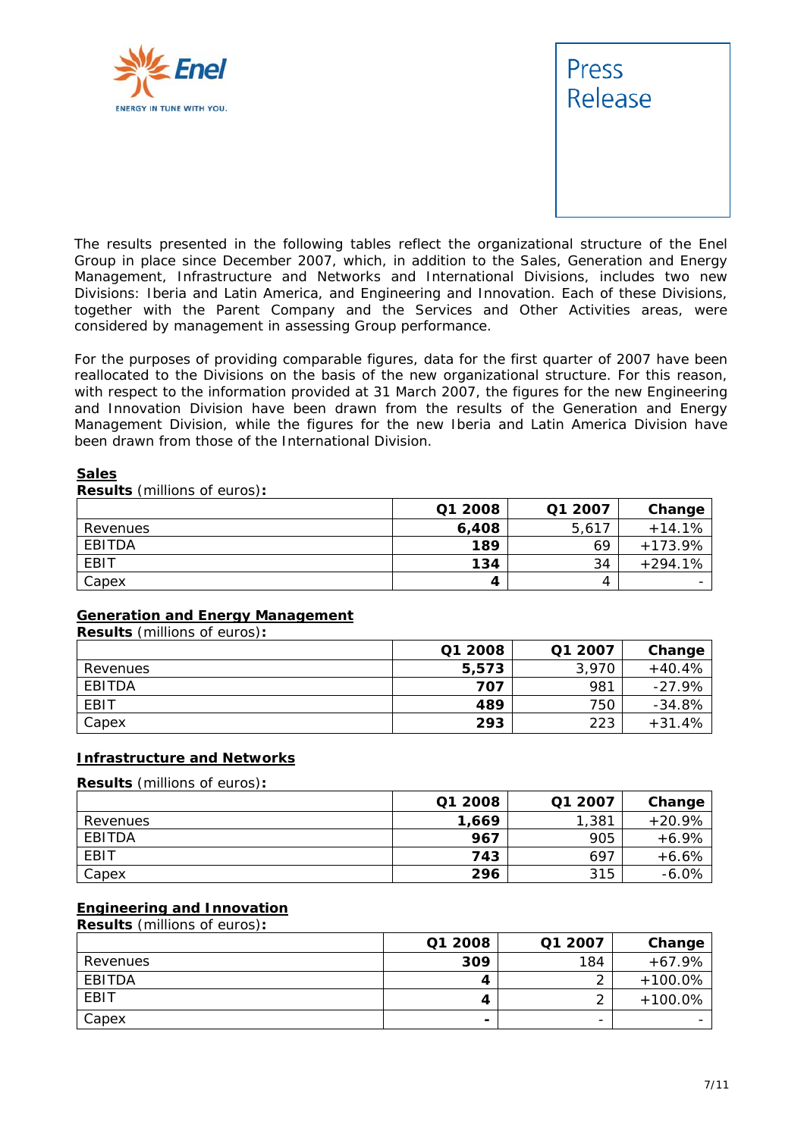



The results presented in the following tables reflect the organizational structure of the Enel Group in place since December 2007, which, in addition to the Sales, Generation and Energy Management, Infrastructure and Networks and International Divisions, includes two new Divisions: Iberia and Latin America, and Engineering and Innovation. Each of these Divisions, together with the Parent Company and the Services and Other Activities areas, were considered by management in assessing Group performance.

For the purposes of providing comparable figures, data for the first quarter of 2007 have been reallocated to the Divisions on the basis of the new organizational structure. For this reason, with respect to the information provided at 31 March 2007, the figures for the new Engineering and Innovation Division have been drawn from the results of the Generation and Energy Management Division, while the figures for the new Iberia and Latin America Division have been drawn from those of the International Division.

#### **Sales**

**Results** (millions of euros)**:** 

|          | Q1 2008 | Q1 2007 | Change    |
|----------|---------|---------|-----------|
| Revenues | 6,408   | 5,617   | $+14.1%$  |
| EBITDA   | 189     | 69      | $+173.9%$ |
| EBIT     | 134     | 34      | $+294.1%$ |
| Capex    |         | 4       |           |

#### **Generation and Energy Management**

**Results** (millions of euros)**:** 

|          | Q1 2008 | Q1 2007 | Change   |
|----------|---------|---------|----------|
| Revenues | 5,573   | 3,970   | $+40.4%$ |
| EBITDA   | 707     | 981     | $-27.9%$ |
| EBIT     | 489     | 750     | $-34.8%$ |
| Capex    | 293     | 223     | $+31.4%$ |

#### **Infrastructure and Networks**

**Results** (millions of euros)**:** 

|          | Q1 2008 | Q1 2007 | Change   |
|----------|---------|---------|----------|
| Revenues | 1,669   | 1,381   | $+20.9%$ |
| EBITDA   | 967     | 905     | $+6.9%$  |
| EBIT     | 743     | 697     | $+6.6%$  |
| Capex    | 296     | 315     | $-6.0%$  |

#### **Engineering and Innovation**

**Results** (millions of euros)**:** 

|          | Q1 2008        | Q1 2007 | Change    |
|----------|----------------|---------|-----------|
| Revenues | 309            | 184     | $+67.9%$  |
| EBITDA   | 4              |         | $+100.0%$ |
| EBIT     | 4              |         | $+100.0%$ |
| Capex    | $\blacksquare$ | -       |           |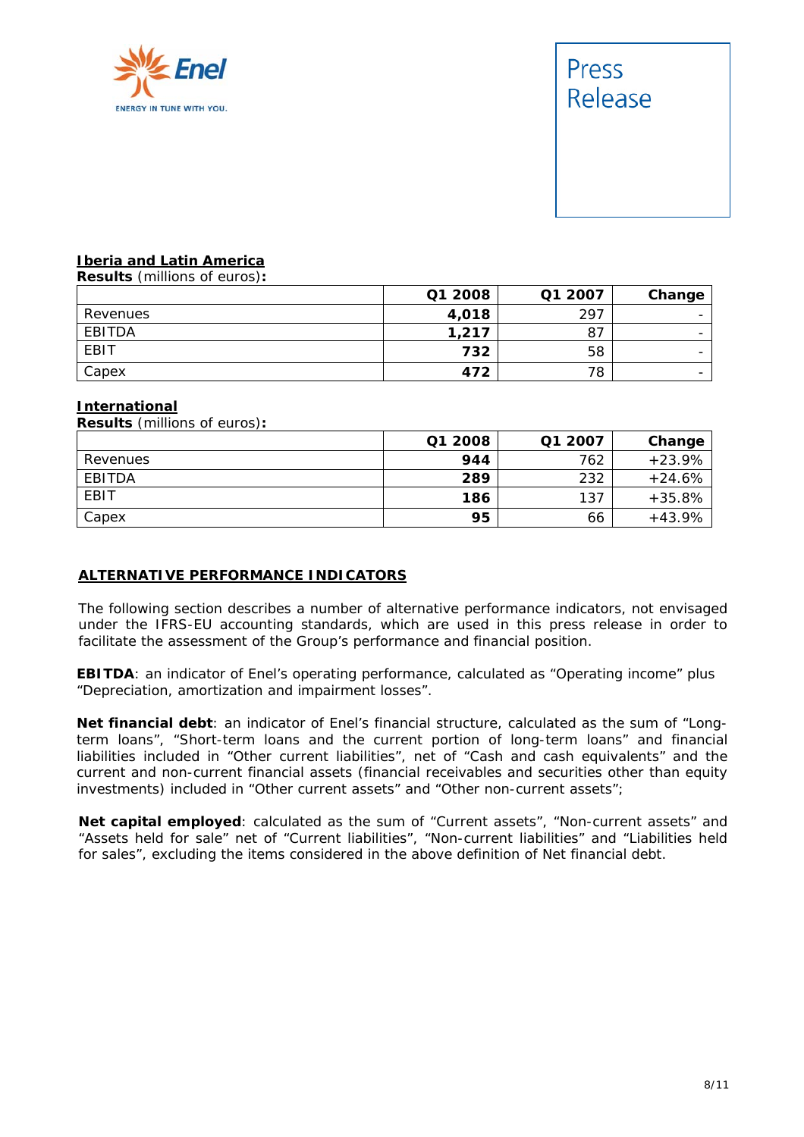

## Press Release

#### **Iberia and Latin America**

**Results** (millions of euros)**:** 

|          | Q1 2008 | Q1 2007 | Change                   |
|----------|---------|---------|--------------------------|
| Revenues | 4,018   | 297     | $\overline{\phantom{0}}$ |
| EBITDA   | 1,217   | 87      | $\overline{\phantom{0}}$ |
| EBIT     | 732     | 58      | $\overline{\phantom{0}}$ |
| Capex    | 472     | 78      | $\overline{\phantom{0}}$ |

#### **International**

| <b>Results</b> (millions of euros): |         |         |          |
|-------------------------------------|---------|---------|----------|
|                                     | Q1 2008 | Q1 2007 | Change   |
| Revenues                            | 944     | 762     | $+23.9%$ |
| EBITDA                              | 289     | 232     | $+24.6%$ |
| EBIT                                | 186     | 137     | $+35.8%$ |
| Capex                               | 95      | 66      | $+43.9%$ |

#### **ALTERNATIVE PERFORMANCE INDICATORS**

The following section describes a number of alternative performance indicators, not envisaged under the IFRS-EU accounting standards, which are used in this press release in order to facilitate the assessment of the Group's performance and financial position.

**EBITDA**: an indicator of Enel's operating performance, calculated as "Operating income" plus "Depreciation, amortization and impairment losses".

**Net financial debt**: an indicator of Enel's financial structure, calculated as the sum of "Longterm loans", "Short-term loans and the current portion of long-term loans" and financial liabilities included in "Other current liabilities", net of "Cash and cash equivalents" and the current and non-current financial assets (financial receivables and securities other than equity investments) included in "Other current assets" and "Other non-current assets";

**Net capital employed**: calculated as the sum of "Current assets", "Non-current assets" and "Assets held for sale" net of "Current liabilities", "Non-current liabilities" and "Liabilities held for sales", excluding the items considered in the above definition of Net financial debt.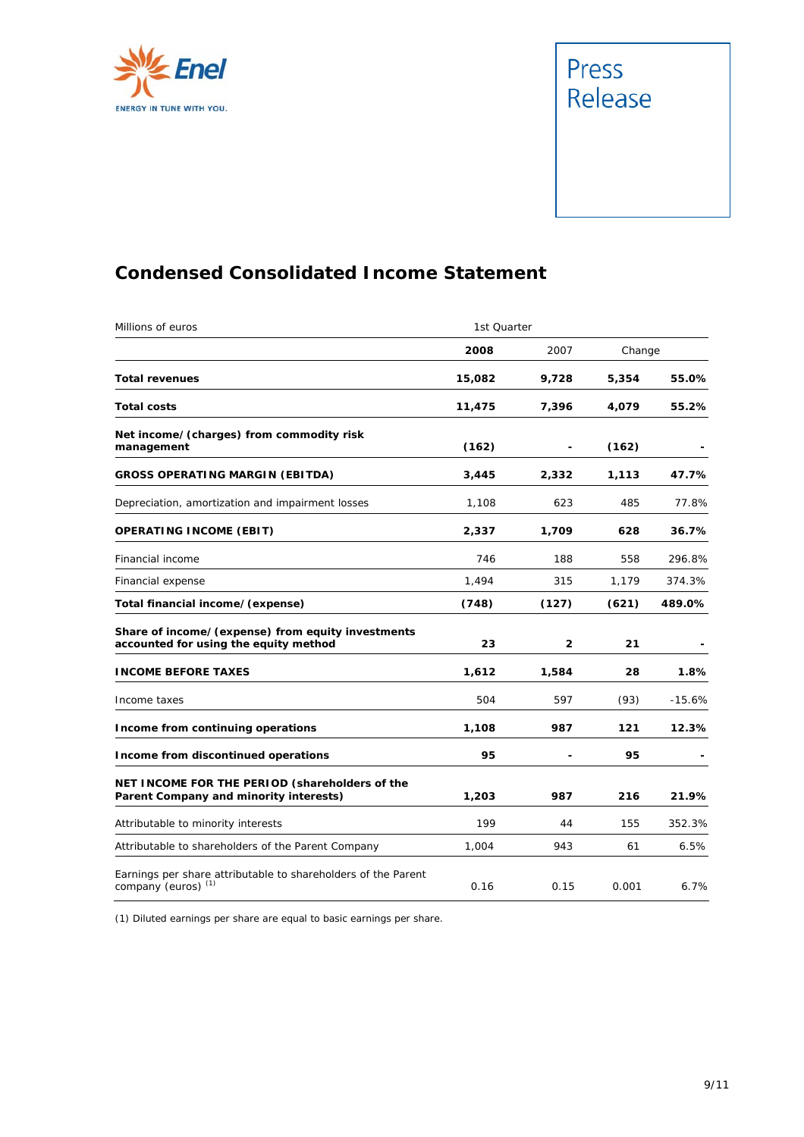

# Press<br>Release

#### **Condensed Consolidated Income Statement**

| Millions of euros                                                                               | 1st Quarter |              |        |          |
|-------------------------------------------------------------------------------------------------|-------------|--------------|--------|----------|
|                                                                                                 | 2008        | 2007         | Change |          |
| <b>Total revenues</b>                                                                           | 15,082      | 9,728        | 5,354  | 55.0%    |
| <b>Total costs</b>                                                                              | 11,475      | 7,396        | 4,079  | 55.2%    |
| Net income/(charges) from commodity risk<br>management                                          | (162)       |              | (162)  |          |
| <b>GROSS OPERATING MARGIN (EBITDA)</b>                                                          | 3,445       | 2,332        | 1,113  | 47.7%    |
| Depreciation, amortization and impairment losses                                                | 1,108       | 623          | 485    | 77.8%    |
| <b>OPERATING INCOME (EBIT)</b>                                                                  | 2,337       | 1,709        | 628    | 36.7%    |
| Financial income                                                                                | 746         | 188          | 558    | 296.8%   |
| Financial expense                                                                               | 1,494       | 315          | 1,179  | 374.3%   |
| Total financial income/(expense)                                                                | (748)       | (127)        | (621)  | 489.0%   |
| Share of income/(expense) from equity investments<br>accounted for using the equity method      | 23          | $\mathbf{2}$ | 21     |          |
| <b>INCOME BEFORE TAXES</b>                                                                      | 1,612       | 1,584        | 28     | $1.8\%$  |
| Income taxes                                                                                    | 504         | 597          | (93)   | $-15.6%$ |
| Income from continuing operations                                                               | 1,108       | 987          | 121    | 12.3%    |
| Income from discontinued operations                                                             | 95          |              | 95     |          |
| NET INCOME FOR THE PERIOD (shareholders of the<br>Parent Company and minority interests)        | 1,203       | 987          | 216    | 21.9%    |
| Attributable to minority interests                                                              | 199         | 44           | 155    | 352.3%   |
| Attributable to shareholders of the Parent Company                                              | 1,004       | 943          | 61     | 6.5%     |
| Earnings per share attributable to shareholders of the Parent<br>company (euros) <sup>(1)</sup> | 0.16        | 0.15         | 0.001  | 6.7%     |

(1) Diluted earnings per share are equal to basic earnings per share.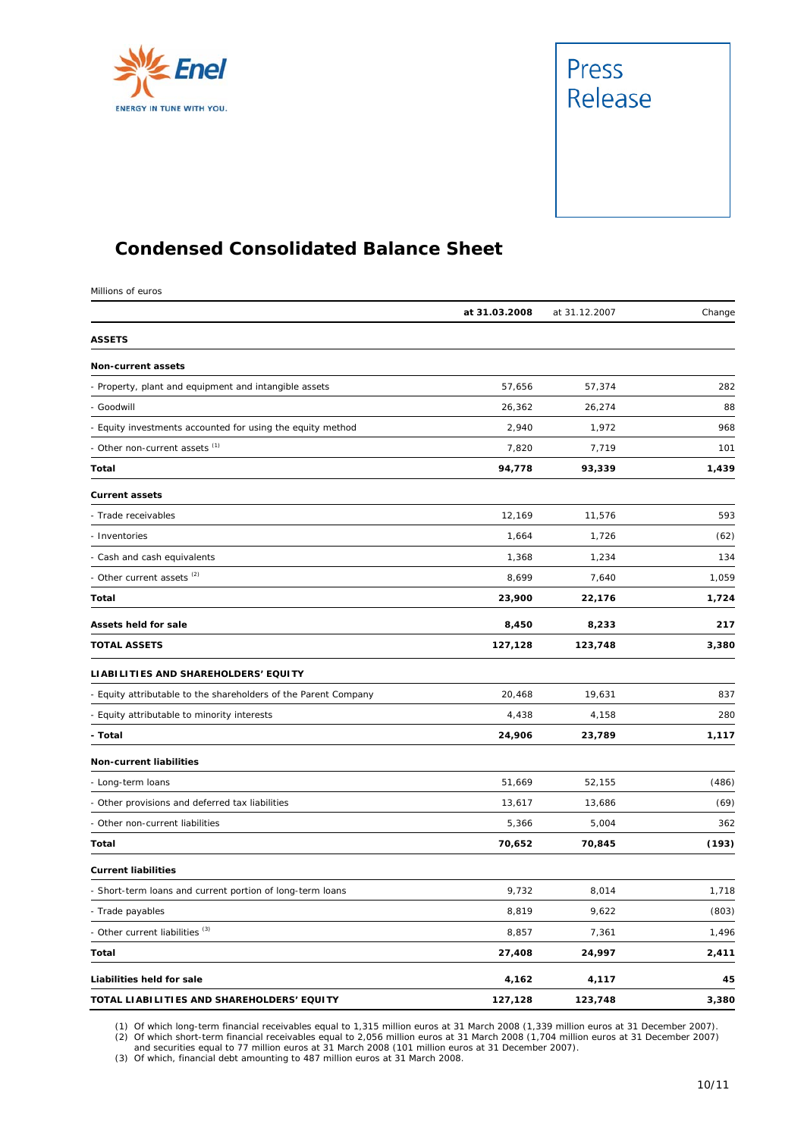



#### **Condensed Consolidated Balance Sheet**

Millions of euros

|                                                                 | at 31.03.2008 | at 31.12.2007 | Change |
|-----------------------------------------------------------------|---------------|---------------|--------|
| <b>ASSETS</b>                                                   |               |               |        |
| Non-current assets                                              |               |               |        |
| - Property, plant and equipment and intangible assets           | 57,656        | 57,374        | 282    |
| - Goodwill                                                      | 26,362        | 26,274        | 88     |
| - Equity investments accounted for using the equity method      | 2,940         | 1,972         | 968    |
| - Other non-current assets (1)                                  | 7,820         | 7,719         | 101    |
| Total                                                           | 94,778        | 93,339        | 1,439  |
| <b>Current assets</b>                                           |               |               |        |
| - Trade receivables                                             | 12,169        | 11,576        | 593    |
| - Inventories                                                   | 1,664         | 1,726         | (62)   |
| - Cash and cash equivalents                                     | 1,368         | 1,234         | 134    |
| - Other current assets <sup>(2)</sup>                           | 8,699         | 7,640         | 1,059  |
| Total                                                           | 23,900        | 22,176        | 1,724  |
| Assets held for sale                                            | 8,450         | 8,233         | 217    |
| <b>TOTAL ASSETS</b>                                             | 127,128       | 123,748       | 3,380  |
| LIABILITIES AND SHAREHOLDERS' EQUITY                            |               |               |        |
| - Equity attributable to the shareholders of the Parent Company | 20,468        | 19,631        | 837    |
| - Equity attributable to minority interests                     | 4,438         | 4,158         | 280    |
| - Total                                                         | 24,906        | 23,789        | 1,117  |
| <b>Non-current liabilities</b>                                  |               |               |        |
| - Long-term loans                                               | 51,669        | 52,155        | (486)  |
| - Other provisions and deferred tax liabilities                 | 13,617        | 13,686        | (69)   |
| - Other non-current liabilities                                 | 5,366         | 5,004         | 362    |
| Total                                                           | 70,652        | 70,845        | (193)  |
| <b>Current liabilities</b>                                      |               |               |        |
| - Short-term loans and current portion of long-term loans       | 9,732         | 8,014         | 1,718  |
| - Trade payables                                                | 8,819         | 9,622         | (803)  |
| - Other current liabilities <sup>(3)</sup>                      | 8,857         | 7,361         | 1,496  |
| Total                                                           | 27,408        | 24,997        | 2,411  |
| Liabilities held for sale                                       | 4,162         | 4,117         | 45     |
| TOTAL LIABILITIES AND SHAREHOLDERS' EQUITY                      | 127,128       | 123,748       | 3,380  |

(1) Of which long-term financial receivables equal to 1,315 million euros at 31 March 2008 (1,339 million euros at 31 December 2007).<br>(2) Of which short-term financial receivables equal to 2,056 million euros at 31 March 2